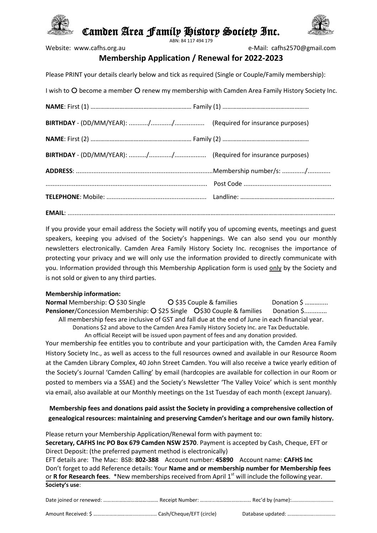

# Camden Area Family History Society Inc.



ABN: 84 117 494 179

Website: www.cafhs.org.au e-Mail: cafhs2570@gmail.com

## **Membership Application / Renewal for 2022-2023**

Please PRINT your details clearly below and tick as required (Single or Couple/Family membership):

| I wish to O become a member O renew my membership with Camden Area Family History Society Inc. |  |  |
|------------------------------------------------------------------------------------------------|--|--|
|                                                                                                |  |  |
|                                                                                                |  |  |
|                                                                                                |  |  |
|                                                                                                |  |  |
|                                                                                                |  |  |
|                                                                                                |  |  |
|                                                                                                |  |  |
|                                                                                                |  |  |

If you provide your email address the Society will notify you of upcoming events, meetings and guest speakers, keeping you advised of the Society's happenings. We can also send you our monthly newsletters electronically. Camden Area Family History Society Inc. recognises the importance of protecting your privacy and we will only use the information provided to directly communicate with you. Information provided through this Membership Application form is used only by the Society and is not sold or given to any third parties.

#### **Membership information:**

**Normal** Membership: \$30 Single \$35 Couple & families Donation \$ ………..... **Pensioner/Concession Membership: O \$25 Single O \$30 Couple & families Donation \$.............** All membership fees are inclusive of GST and fall due at the end of June in each financial year. Donations \$2 and above to the Camden Area Family History Society Inc. are Tax Deductable. An official Receipt will be issued upon payment of fees and any donation provided.

Your membership fee entitles you to contribute and your participation with, the Camden Area Family History Society Inc., as well as access to the full resources owned and available in our Resource Room at the Camden Library Complex, 40 John Street Camden. You will also receive a twice yearly edition of the Society's Journal 'Camden Calling' by email (hardcopies are available for collection in our Room or posted to members via a SSAE) and the Society's Newsletter 'The Valley Voice' which is sent monthly via email, also available at our Monthly meetings on the 1st Tuesday of each month (except January).

### **Membership fees and donations paid assist the Society in providing a comprehensive collection of genealogical resources: maintaining and preserving Camden's heritage and our own family history.**

Please return your Membership Application/Renewal form with payment to: **Secretary, CAFHS Inc PO Box 679 Camden NSW 2570**. Payment is accepted by Cash, Cheque, EFT or Direct Deposit: (the preferred payment method is electronically) EFT details are: The Mac: BSB: **802-388** Account number: **45890** Account name: **CAFHS Inc** Don't forget to add Reference details: Your **Name and or membership number for Membership fees** or **R for Research fees**. \*New memberships received from April 1<sup>st</sup> will include the following year.

| Society's use: |  |
|----------------|--|
|----------------|--|

|--|--|--|

Amount Received: \$ ………………………………………………… Cash/Cheque/EFT (circle) Database updated: …………………………………